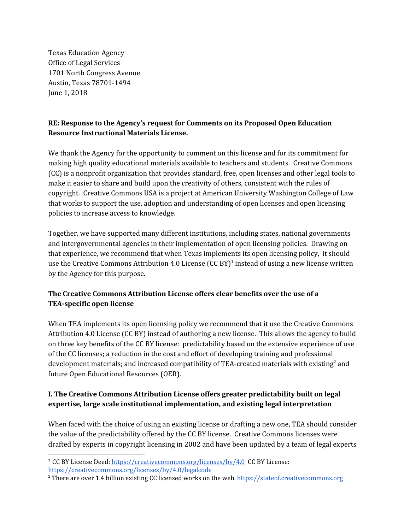Texas Education Agency Office of Legal Services 1701 North Congress Avenue Austin, Texas 78701-1494 June 1, 2018

## **RE: Response to the Agency's request for Comments on its Proposed Open Education Resource Instructional Materials License.**

We thank the Agency for the opportunity to comment on this license and for its commitment for making high quality educational materials available to teachers and students. Creative Commons (CC) is a nonprofit organization that provides standard, free, open licenses and other legal tools to make it easier to share and build upon the creativity of others, consistent with the rules of copyright. Creative Commons USA is a project at American University Washington College of Law that works to support the use, adoption and understanding of open licenses and open licensing policies to increase access to knowledge.

Together, we have supported many different institutions, including states, national governments and intergovernmental agencies in their implementation of open licensing policies. Drawing on that experience, we recommend that when Texas implements its open licensing policy, it should use the Creative Commons Attribution 4.0 License (CC BY)<sup>1</sup> instead of using a new license written by the Agency for this purpose.

# **The Creative Commons Attribution License offers clear benefits over the use of a TEA-specific open license**

When TEA implements its open licensing policy we recommend that it use the Creative Commons Attribution 4.0 License (CC BY) instead of authoring a new license. This allows the agency to build on three key benefits of the CC BY license: predictability based on the extensive experience of use of the CC licenses; a reduction in the cost and effort of developing training and professional development materials; and increased compatibility of TEA-created materials with existing<sup>2</sup> and future Open Educational Resources (OER).

# **I. The Creative Commons Attribution License offers greater predictability built on legal expertise, large scale institutional implementation, and existing legal interpretation**

When faced with the choice of using an existing license or drafting a new one, TEA should consider the value of the predictability offered by the CC BY license. Creative Commons licenses were drafted by experts in copyright licensing in 2002 and have been updated by a team of legal experts

<sup>1</sup> CC BY License Deed: <https://creativecommons.org/licenses/by/4.0> CC BY License: <https://creativecommons.org/licenses/by/4.0/legalcode>

<sup>&</sup>lt;sup>2</sup> There are over 1.4 billion existing CC licensed works on the web. [https://stateof.creativecommons.org](https://stateof.creativecommons.org/)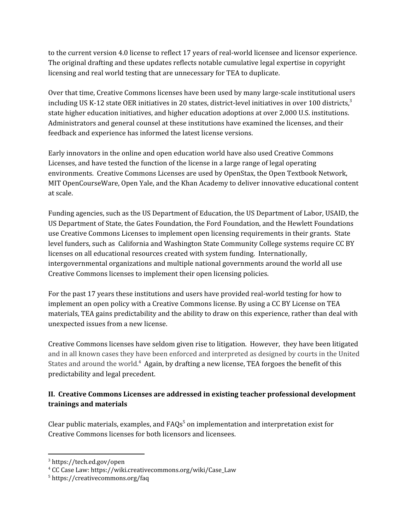to the current version 4.0 license to reflect 17 years of real-world licensee and licensor experience. The original drafting and these updates reflects notable cumulative legal expertise in copyright licensing and real world testing that are unnecessary for TEA to duplicate.

Over that time, Creative Commons licenses have been used by many large-scale institutional users including US K-12 state OER initiatives in 20 states, district-level initiatives in over 100 districts, $^3$ state higher education initiatives, and higher education adoptions at over 2,000 U.S. institutions. Administrators and general counsel at these institutions have examined the licenses, and their feedback and experience has informed the latest license versions.

Early innovators in the online and open education world have also used Creative Commons Licenses, and have tested the function of the license in a large range of legal operating environments. Creative Commons Licenses are used by OpenStax, the Open Textbook Network, MIT OpenCourseWare, Open Yale, and the Khan Academy to deliver innovative educational content at scale.

Funding agencies, such as the US Department of Education, the US Department of Labor, USAID, the US Department of State, the Gates Foundation, the Ford Foundation, and the Hewlett Foundations use Creative Commons Licenses to implement open licensing requirements in their grants. State level funders, such as California and Washington State Community College systems require CC BY licenses on all educational resources created with system funding. Internationally, intergovernmental organizations and multiple national governments around the world all use Creative Commons licenses to implement their open licensing policies.

For the past 17 years these institutions and users have provided real-world testing for how to implement an open policy with a Creative Commons license. By using a CC BY License on TEA materials, TEA gains predictability and the ability to draw on this experience, rather than deal with unexpected issues from a new license.

Creative Commons licenses have seldom given rise to litigation. However, they have been litigated and in all known cases they have been enforced and interpreted as designed by courts in the United States and around the world. $<sup>4</sup>$  Again, by drafting a new license, TEA forgoes the benefit of this</sup> predictability and legal precedent.

## **II. Creative Commons Licenses are addressed in existing teacher professional development trainings and materials**

Clear public materials, examples, and  $FAQs<sup>5</sup>$  on implementation and interpretation exist for Creative Commons licenses for both licensors and licensees.

<sup>3</sup> <https://tech.ed.gov/open>

<sup>4</sup> CC Case Law: [https://wiki.creativecommons.org/wiki/Case\\_Law](https://wiki.creativecommons.org/wiki/Case_Law)

<sup>5</sup> <https://creativecommons.org/faq>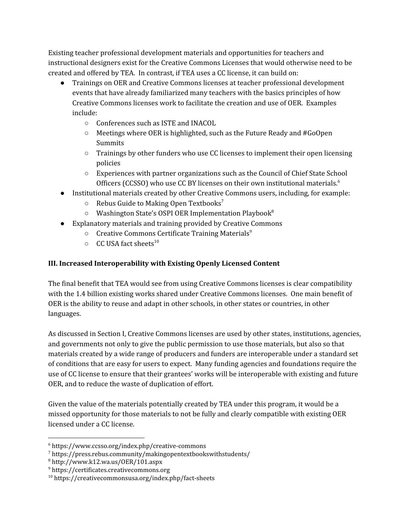Existing teacher professional development materials and opportunities for teachers and instructional designers exist for the Creative Commons Licenses that would otherwise need to be created and offered by TEA. In contrast, if TEA uses a CC license, it can build on:

- Trainings on OER and Creative Commons licenses at teacher professional development events that have already familiarized many teachers with the basics principles of how Creative Commons licenses work to facilitate the creation and use of OER. Examples include:
	- Conferences such as ISTE and INACOL
	- Meetings where OER is highlighted, such as the Future Ready and #GoOpen Summits
	- Trainings by other funders who use CC licenses to implement their open licensing policies
	- Experiences with partner organizations such as the Council of Chief State School Officers (CCSSO) who use CC BY licenses on their own institutional materials.<sup>6</sup>
- Institutional materials created by other Creative Commons users, including, for example:
	- $\circ$  Rebus Guide to Making Open Textbooks<sup>7</sup>
	- $\circ$  Washington State's OSPI OER Implementation Playbook<sup>8</sup>
- Explanatory materials and training provided by Creative Commons
	- $\circ$  Creative Commons Certificate Training Materials<sup>9</sup>
	- $\circ$  CC USA fact sheets<sup>10</sup>

## **III. Increased Interoperability with Existing Openly Licensed Content**

The final benefit that TEA would see from using Creative Commons licenses is clear compatibility with the 1.4 billion existing works shared under Creative Commons licenses. One main benefit of OER is the ability to reuse and adapt in other schools, in other states or countries, in other languages.

As discussed in Section I, Creative Commons licenses are used by other states, institutions, agencies, and governments not only to give the public permission to use those materials, but also so that materials created by a wide range of producers and funders are interoperable under a standard set of conditions that are easy for users to expect. Many funding agencies and foundations require the use of CC license to ensure that their grantees' works will be interoperable with existing and future OER, and to reduce the waste of duplication of effort.

Given the value of the materials potentially created by TEA under this program, it would be a missed opportunity for those materials to not be fully and clearly compatible with existing OER licensed under a CC license.

<sup>6</sup> https://www.ccsso.org/index.php/creative-commons

<sup>7</sup> https://press.rebus.community/makingopentextbookswithstudents/

 $8$  http://www.k12.wa.us/OER/101.aspx

<sup>9</sup> [https://certificates.creativecommons.org](https://certificates.creativecommons.org/)

<sup>10</sup> https://creativecommonsusa.org/index.php/fact-sheets